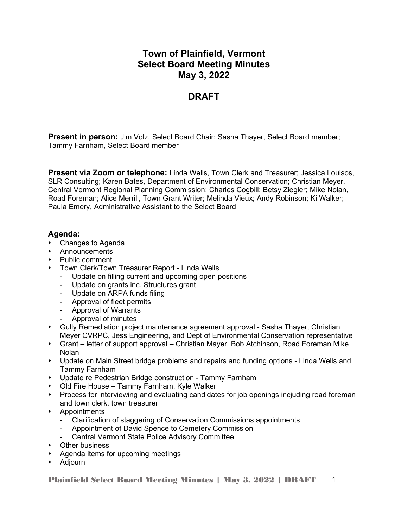# **Town of Plainfield, Vermont Select Board Meeting Minutes May 3, 2022**

# **DRAFT**

**Present in person:** Jim Volz, Select Board Chair; Sasha Thayer, Select Board member; Tammy Farnham, Select Board member

**Present via Zoom or telephone:** Linda Wells, Town Clerk and Treasurer; Jessica Louisos, SLR Consulting; Karen Bates, Department of Environmental Conservation; Christian Meyer, Central Vermont Regional Planning Commission; Charles Cogbill; Betsy Ziegler; Mike Nolan, Road Foreman; Alice Merrill, Town Grant Writer; Melinda Vieux; Andy Robinson; Ki Walker; Paula Emery, Administrative Assistant to the Select Board

# **Agenda:**

- Changes to Agenda
- Announcements
- Public comment
- Town Clerk/Town Treasurer Report Linda Wells
	- Update on filling current and upcoming open positions
	- Update on grants inc. Structures grant
	- Update on ARPA funds filing
	- Approval of fleet permits
	- Approval of Warrants
	- Approval of minutes
- Gully Remediation project maintenance agreement approval Sasha Thayer, Christian Meyer CVRPC, Jess Engineering, and Dept of Environmental Conservation representative
- Grant letter of support approval Christian Mayer, Bob Atchinson, Road Foreman Mike Nolan
- Update on Main Street bridge problems and repairs and funding options Linda Wells and Tammy Farnham
- Update re Pedestrian Bridge construction Tammy Farnham
- Old Fire House Tammy Farnham, Kyle Walker
- Process for interviewing and evaluating candidates for job openings incjuding road foreman and town clerk, town treasurer
- Appointments
	- Clarification of staggering of Conservation Commissions appointments
	- Appointment of David Spence to Cemetery Commission
	- Central Vermont State Police Advisory Committee
- Other business
- Agenda items for upcoming meetings
- Adjourn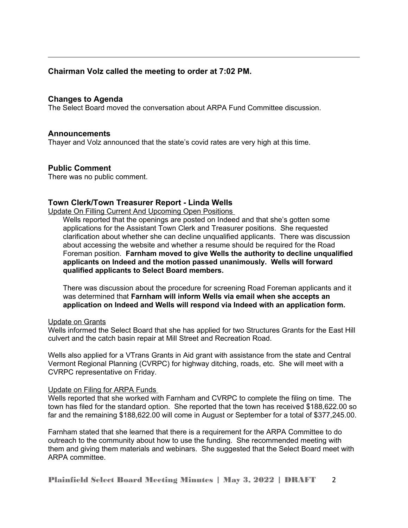# **Chairman Volz called the meeting to order at 7:02 PM.**

## **Changes to Agenda**

The Select Board moved the conversation about ARPA Fund Committee discussion.

### **Announcements**

Thayer and Volz announced that the state's covid rates are very high at this time.

### **Public Comment**

There was no public comment.

## **Town Clerk/Town Treasurer Report - Linda Wells**

Update On Filling Current And Upcoming Open Positions

Wells reported that the openings are posted on Indeed and that she's gotten some applications for the Assistant Town Clerk and Treasurer positions. She requested clarification about whether she can decline unqualified applicants. There was discussion about accessing the website and whether a resume should be required for the Road Foreman position. **Farnham moved to give Wells the authority to decline unqualified applicants on Indeed and the motion passed unanimously. Wells will forward qualified applicants to Select Board members.**

There was discussion about the procedure for screening Road Foreman applicants and it was determined that **Farnham will inform Wells via email when she accepts an application on Indeed and Wells will respond via Indeed with an application form.**

#### Update on Grants

Wells informed the Select Board that she has applied for two Structures Grants for the East Hill culvert and the catch basin repair at Mill Street and Recreation Road.

Wells also applied for a VTrans Grants in Aid grant with assistance from the state and Central Vermont Regional Planning (CVRPC) for highway ditching, roads, etc. She will meet with a CVRPC representative on Friday.

#### Update on Filing for ARPA Funds

Wells reported that she worked with Farnham and CVRPC to complete the filing on time. The town has filed for the standard option. She reported that the town has received \$188,622.00 so far and the remaining \$188,622.00 will come in August or September for a total of \$377,245.00.

Farnham stated that she learned that there is a requirement for the ARPA Committee to do outreach to the community about how to use the funding. She recommended meeting with them and giving them materials and webinars. She suggested that the Select Board meet with ARPA committee.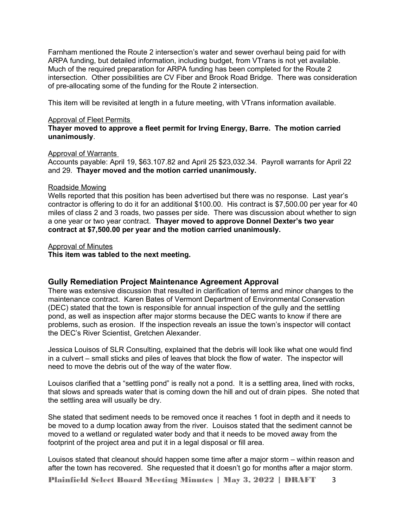Farnham mentioned the Route 2 intersection's water and sewer overhaul being paid for with ARPA funding, but detailed information, including budget, from VTrans is not yet available. Much of the required preparation for ARPA funding has been completed for the Route 2 intersection. Other possibilities are CV Fiber and Brook Road Bridge. There was consideration of pre-allocating some of the funding for the Route 2 intersection.

This item will be revisited at length in a future meeting, with VTrans information available.

#### Approval of Fleet Permits

**Thayer moved to approve a fleet permit for Irving Energy, Barre. The motion carried unanimously**.

#### Approval of Warrants

Accounts payable: April 19, \$63.107.82 and April 25 \$23,032.34. Payroll warrants for April 22 and 29. **Thayer moved and the motion carried unanimously.** 

#### Roadside Mowing

Wells reported that this position has been advertised but there was no response. Last year's contractor is offering to do it for an additional \$100.00. His contract is \$7,500.00 per year for 40 miles of class 2 and 3 roads, two passes per side. There was discussion about whether to sign a one year or two year contract. **Thayer moved to approve Donnel Dexter's two year contract at \$7,500.00 per year and the motion carried unanimously.**

#### Approval of Minutes

**This item was tabled to the next meeting.**

### **Gully Remediation Project Maintenance Agreement Approval**

There was extensive discussion that resulted in clarification of terms and minor changes to the maintenance contract. Karen Bates of Vermont Department of Environmental Conservation (DEC) stated that the town is responsible for annual inspection of the gully and the settling pond, as well as inspection after major storms because the DEC wants to know if there are problems, such as erosion. If the inspection reveals an issue the town's inspector will contact the DEC's River Scientist, Gretchen Alexander.

Jessica Louisos of SLR Consulting, explained that the debris will look like what one would find in a culvert – small sticks and piles of leaves that block the flow of water. The inspector will need to move the debris out of the way of the water flow.

Louisos clarified that a "settling pond" is really not a pond. It is a settling area, lined with rocks, that slows and spreads water that is coming down the hill and out of drain pipes. She noted that the settling area will usually be dry.

She stated that sediment needs to be removed once it reaches 1 foot in depth and it needs to be moved to a dump location away from the river. Louisos stated that the sediment cannot be moved to a wetland or regulated water body and that it needs to be moved away from the footprint of the project area and put it in a legal disposal or fill area.

Louisos stated that cleanout should happen some time after a major storm – within reason and after the town has recovered. She requested that it doesn't go for months after a major storm.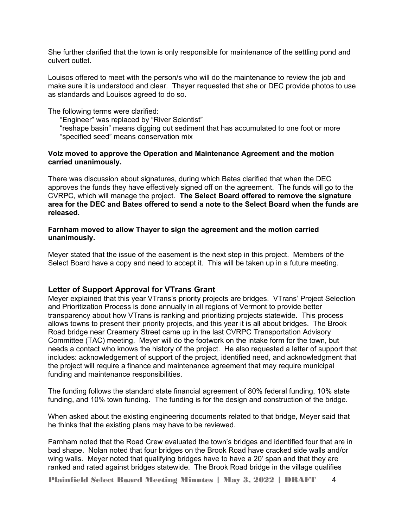She further clarified that the town is only responsible for maintenance of the settling pond and culvert outlet.

Louisos offered to meet with the person/s who will do the maintenance to review the job and make sure it is understood and clear. Thayer requested that she or DEC provide photos to use as standards and Louisos agreed to do so.

#### The following terms were clarified:

"Engineer" was replaced by "River Scientist"

"reshape basin" means digging out sediment that has accumulated to one foot or more "specified seed" means conservation mix

### **Volz moved to approve the Operation and Maintenance Agreement and the motion carried unanimously.**

There was discussion about signatures, during which Bates clarified that when the DEC approves the funds they have effectively signed off on the agreement. The funds will go to the CVRPC, which will manage the project. **The Select Board offered to remove the signature area for the DEC and Bates offered to send a note to the Select Board when the funds are released.**

### **Farnham moved to allow Thayer to sign the agreement and the motion carried unanimously.**

Meyer stated that the issue of the easement is the next step in this project. Members of the Select Board have a copy and need to accept it. This will be taken up in a future meeting.

## **Letter of Support Approval for VTrans Grant**

Meyer explained that this year VTrans's priority projects are bridges. VTrans' Project Selection and Prioritization Process is done annually in all regions of Vermont to provide better transparency about how VTrans is ranking and prioritizing projects statewide. This process allows towns to present their priority projects, and this year it is all about bridges. The Brook Road bridge near Creamery Street came up in the last CVRPC Transportation Advisory Committee (TAC) meeting. Meyer will do the footwork on the intake form for the town, but needs a contact who knows the history of the project. He also requested a letter of support that includes: acknowledgement of support of the project, identified need, and acknowledgment that the project will require a finance and maintenance agreement that may require municipal funding and maintenance responsibilities.

The funding follows the standard state financial agreement of 80% federal funding, 10% state funding, and 10% town funding. The funding is for the design and construction of the bridge.

When asked about the existing engineering documents related to that bridge, Meyer said that he thinks that the existing plans may have to be reviewed.

Farnham noted that the Road Crew evaluated the town's bridges and identified four that are in bad shape. Nolan noted that four bridges on the Brook Road have cracked side walls and/or wing walls. Meyer noted that qualifying bridges have to have a 20' span and that they are ranked and rated against bridges statewide. The Brook Road bridge in the village qualifies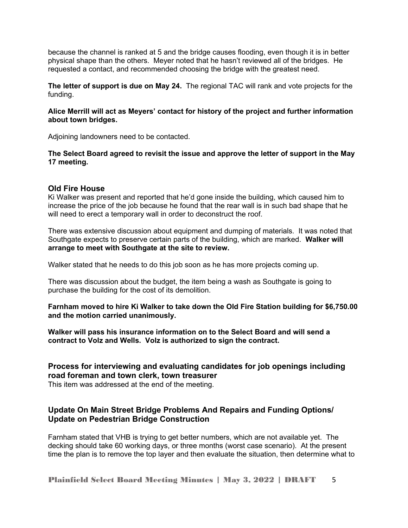because the channel is ranked at 5 and the bridge causes flooding, even though it is in better physical shape than the others. Meyer noted that he hasn't reviewed all of the bridges. He requested a contact, and recommended choosing the bridge with the greatest need.

**The letter of support is due on May 24.** The regional TAC will rank and vote projects for the funding.

## **Alice Merrill will act as Meyers' contact for history of the project and further information about town bridges.**

Adjoining landowners need to be contacted.

## **The Select Board agreed to revisit the issue and approve the letter of support in the May 17 meeting.**

# **Old Fire House**

Ki Walker was present and reported that he'd gone inside the building, which caused him to increase the price of the job because he found that the rear wall is in such bad shape that he will need to erect a temporary wall in order to deconstruct the roof.

There was extensive discussion about equipment and dumping of materials. It was noted that Southgate expects to preserve certain parts of the building, which are marked. **Walker will arrange to meet with Southgate at the site to review.** 

Walker stated that he needs to do this job soon as he has more projects coming up.

There was discussion about the budget, the item being a wash as Southgate is going to purchase the building for the cost of its demolition.

**Farnham moved to hire Ki Walker to take down the Old Fire Station building for \$6,750.00 and the motion carried unanimously.** 

**Walker will pass his insurance information on to the Select Board and will send a contract to Volz and Wells. Volz is authorized to sign the contract.** 

# **Process for interviewing and evaluating candidates for job openings including road foreman and town clerk, town treasurer**

This item was addressed at the end of the meeting.

# **Update On Main Street Bridge Problems And Repairs and Funding Options/ Update on Pedestrian Bridge Construction**

Farnham stated that VHB is trying to get better numbers, which are not available yet. The decking should take 60 working days, or three months (worst case scenario). At the present time the plan is to remove the top layer and then evaluate the situation, then determine what to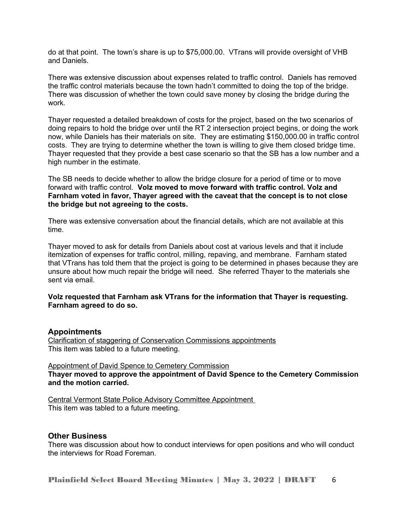do at that point. The town's share is up to \$75,000.00. VTrans will provide oversight of VHB and Daniels.

There was extensive discussion about expenses related to traffic control. Daniels has removed the traffic control materials because the town hadn't committed to doing the top of the bridge. There was discussion of whether the town could save money by closing the bridge during the work.

Thayer requested a detailed breakdown of costs for the project, based on the two scenarios of doing repairs to hold the bridge over until the RT 2 intersection project begins, or doing the work now, while Daniels has their materials on site. They are estimating \$150,000.00 in traffic control costs. They are trying to determine whether the town is willing to give them closed bridge time. Thayer requested that they provide a best case scenario so that the SB has a low number and a high number in the estimate.

The SB needs to decide whether to allow the bridge closure for a period of time or to move forward with traffic control. **Volz moved to move forward with traffic control. Volz and Farnham voted in favor, Thayer agreed with the caveat that the concept is to not close the bridge but not agreeing to the costs.** 

There was extensive conversation about the financial details, which are not available at this time.

Thayer moved to ask for details from Daniels about cost at various levels and that it include itemization of expenses for traffic control, milling, repaving, and membrane. Farnham stated that VTrans has told them that the project is going to be determined in phases because they are unsure about how much repair the bridge will need. She referred Thayer to the materials she sent via email.

## **Volz requested that Farnham ask VTrans for the information that Thayer is requesting. Farnham agreed to do so.**

## **Appointments**

Clarification of staggering of Conservation Commissions appointments This item was tabled to a future meeting.

Appointment of David Spence to Cemetery Commission **Thayer moved to approve the appointment of David Spence to the Cemetery Commission and the motion carried.**

Central Vermont State Police Advisory Committee Appointment This item was tabled to a future meeting.

### **Other Business**

There was discussion about how to conduct interviews for open positions and who will conduct the interviews for Road Foreman.